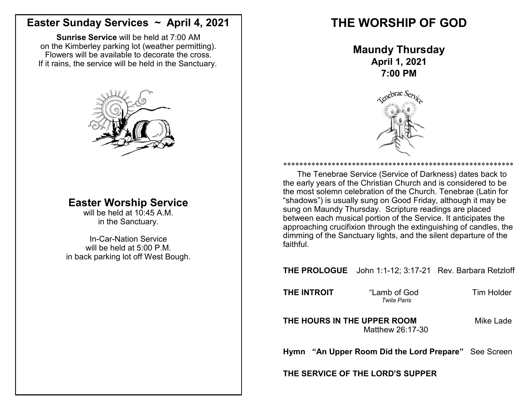### **Easter Sunday Services ~ April 4, 2021**

**Sunrise Service** will be held at 7:00 AM on the Kimberley parking lot (weather permitting). Flowers will be available to decorate the cross. If it rains, the service will be held in the Sanctuary.



## **Easter Worship Service**

will be held at 10:45 A.M. in the Sanctuary.

In-Car-Nation Service will be held at 5:00 P.M. in back parking lot off West Bough.

# **THE WORSHIP OF GOD**

**Maundy Thursday April 1, 2021 7:00 PM** 



\*\*\*\*\*\*\*\*\*\*\*\*\*\*\*\*\*\*\*\*\*\*\*\*\*\*\*\*\*\*\*\*\*\*\*\*\*\*\*\*\*\*\*\*\*\*\*\*\*\*\*\*\*\*\*\*\* The Tenebrae Service (Service of Darkness) dates back to the early years of the Christian Church and is considered to be the most solemn celebration of the Church. Tenebrae (Latin for "shadows") is usually sung on Good Friday, although it may be sung on Maundy Thursday. Scripture readings are placed between each musical portion of the Service. It anticipates the approaching crucifixion through the extinguishing of candles, the dimming of the Sanctuary lights, and the silent departure of the faithful.

**THE PROLOGUE** John 1:1-12; 3:17-21 Rev. Barbara Retzloff

**THE INTROIT** "Lamb of God Tim Holder

*Twila Paris*

**THE HOURS IN THE UPPER ROOM** Mike Lade Matthew 26:17-30

**Hymn "An Upper Room Did the Lord Prepare"** See Screen

**THE SERVICE OF THE LORD'S SUPPER**